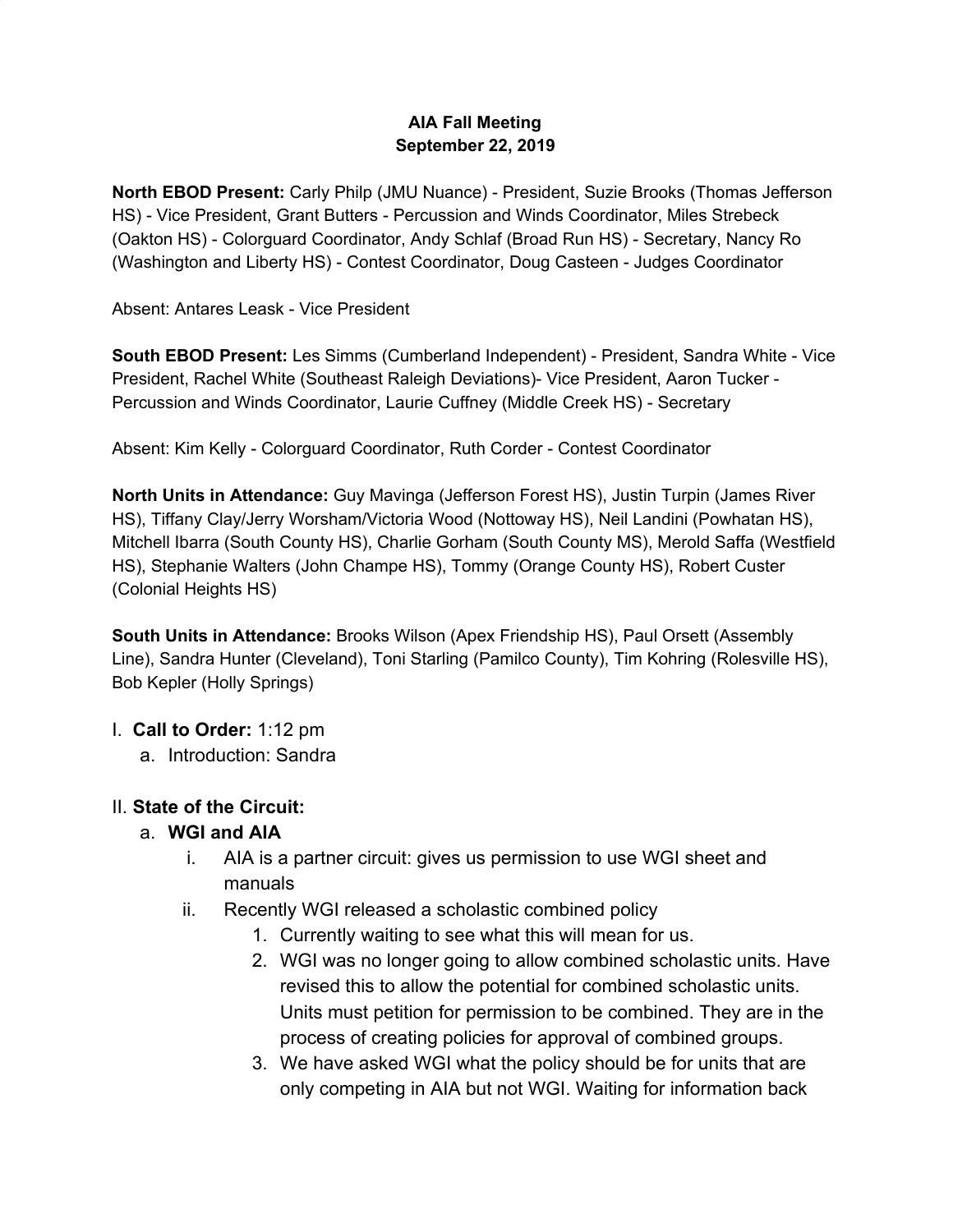# **AIA Fall Meeting September 22, 2019**

**North EBOD Present:** Carly Philp (JMU Nuance) - President, Suzie Brooks (Thomas Jefferson HS) - Vice President, Grant Butters - Percussion and Winds Coordinator, Miles Strebeck (Oakton HS) - Colorguard Coordinator, Andy Schlaf (Broad Run HS) - Secretary, Nancy Ro (Washington and Liberty HS) - Contest Coordinator, Doug Casteen - Judges Coordinator

Absent: Antares Leask - Vice President

**South EBOD Present:** Les Simms (Cumberland Independent) - President, Sandra White - Vice President, Rachel White (Southeast Raleigh Deviations)- Vice President, Aaron Tucker - Percussion and Winds Coordinator, Laurie Cuffney (Middle Creek HS) - Secretary

Absent: Kim Kelly - Colorguard Coordinator, Ruth Corder - Contest Coordinator

**North Units in Attendance:** Guy Mavinga (Jefferson Forest HS), Justin Turpin (James River HS), Tiffany Clay/Jerry Worsham/Victoria Wood (Nottoway HS), Neil Landini (Powhatan HS), Mitchell Ibarra (South County HS), Charlie Gorham (South County MS), Merold Saffa (Westfield HS), Stephanie Walters (John Champe HS), Tommy (Orange County HS), Robert Custer (Colonial Heights HS)

**South Units in Attendance:** Brooks Wilson (Apex Friendship HS), Paul Orsett (Assembly Line), Sandra Hunter (Cleveland), Toni Starling (Pamilco County), Tim Kohring (Rolesville HS), Bob Kepler (Holly Springs)

- I. **Call to Order:** 1:12 pm
	- a. Introduction: Sandra

# II. **State of the Circuit:**

# a. **WGI and AIA**

- i. AIA is a partner circuit: gives us permission to use WGI sheet and manuals
- ii. Recently WGI released a scholastic combined policy
	- 1. Currently waiting to see what this will mean for us.
	- 2. WGI was no longer going to allow combined scholastic units. Have revised this to allow the potential for combined scholastic units. Units must petition for permission to be combined. They are in the process of creating policies for approval of combined groups.
	- 3. We have asked WGI what the policy should be for units that are only competing in AIA but not WGI. Waiting for information back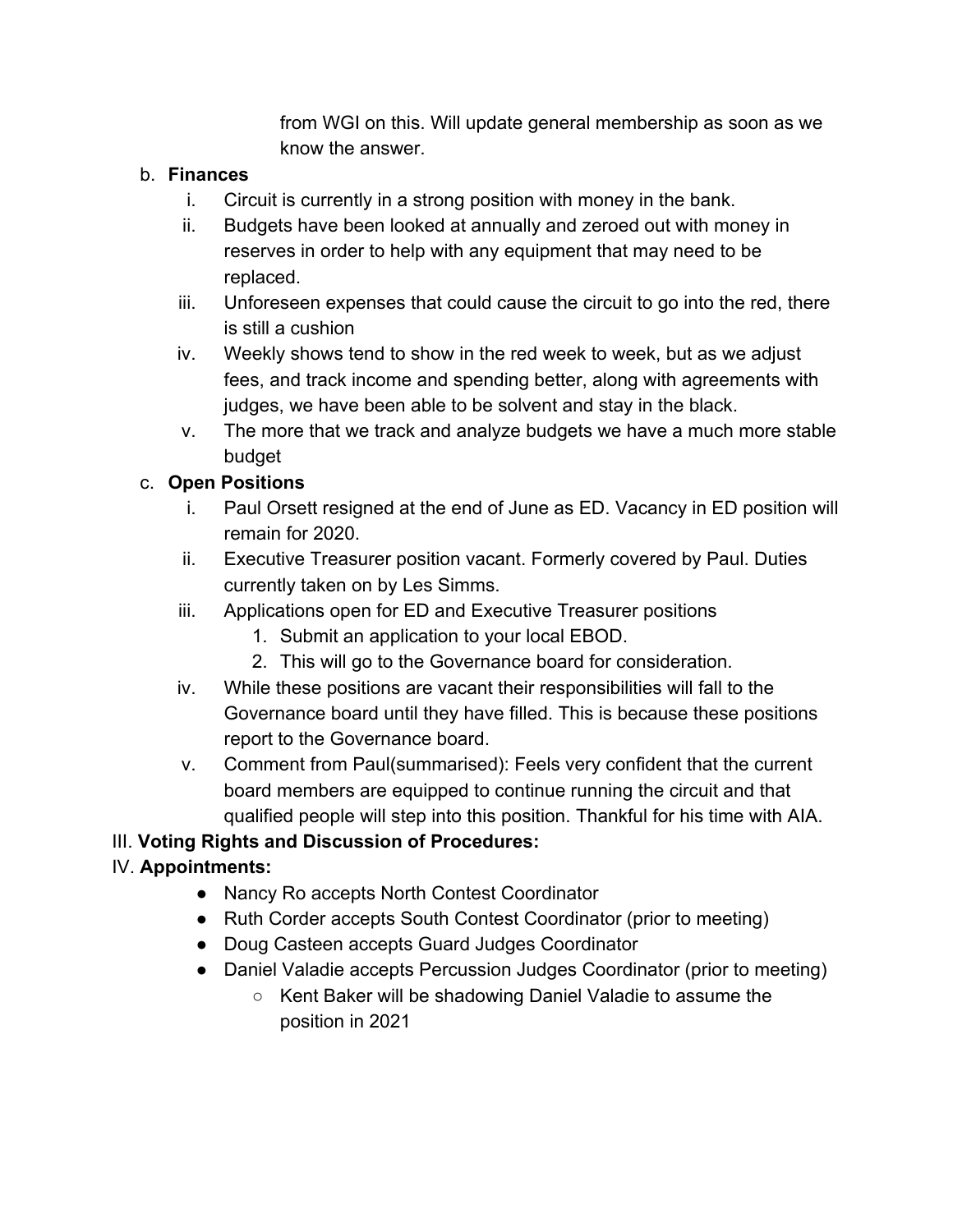from WGI on this. Will update general membership as soon as we know the answer.

# b. **Finances**

- i. Circuit is currently in a strong position with money in the bank.
- ii. Budgets have been looked at annually and zeroed out with money in reserves in order to help with any equipment that may need to be replaced.
- iii. Unforeseen expenses that could cause the circuit to go into the red, there is still a cushion
- iv. Weekly shows tend to show in the red week to week, but as we adjust fees, and track income and spending better, along with agreements with judges, we have been able to be solvent and stay in the black.
- v. The more that we track and analyze budgets we have a much more stable budget

# c. **Open Positions**

- i. Paul Orsett resigned at the end of June as ED. Vacancy in ED position will remain for 2020.
- ii. Executive Treasurer position vacant. Formerly covered by Paul. Duties currently taken on by Les Simms.
- iii. Applications open for ED and Executive Treasurer positions
	- 1. Submit an application to your local EBOD.
	- 2. This will go to the Governance board for consideration.
- iv. While these positions are vacant their responsibilities will fall to the Governance board until they have filled. This is because these positions report to the Governance board.
- v. Comment from Paul(summarised): Feels very confident that the current board members are equipped to continue running the circuit and that qualified people will step into this position. Thankful for his time with AIA.

# III. **Voting Rights and Discussion of Procedures:**

# IV. **Appointments:**

- Nancy Ro accepts North Contest Coordinator
- Ruth Corder accepts South Contest Coordinator (prior to meeting)
- Doug Casteen accepts Guard Judges Coordinator
- Daniel Valadie accepts Percussion Judges Coordinator (prior to meeting)
	- Kent Baker will be shadowing Daniel Valadie to assume the position in 2021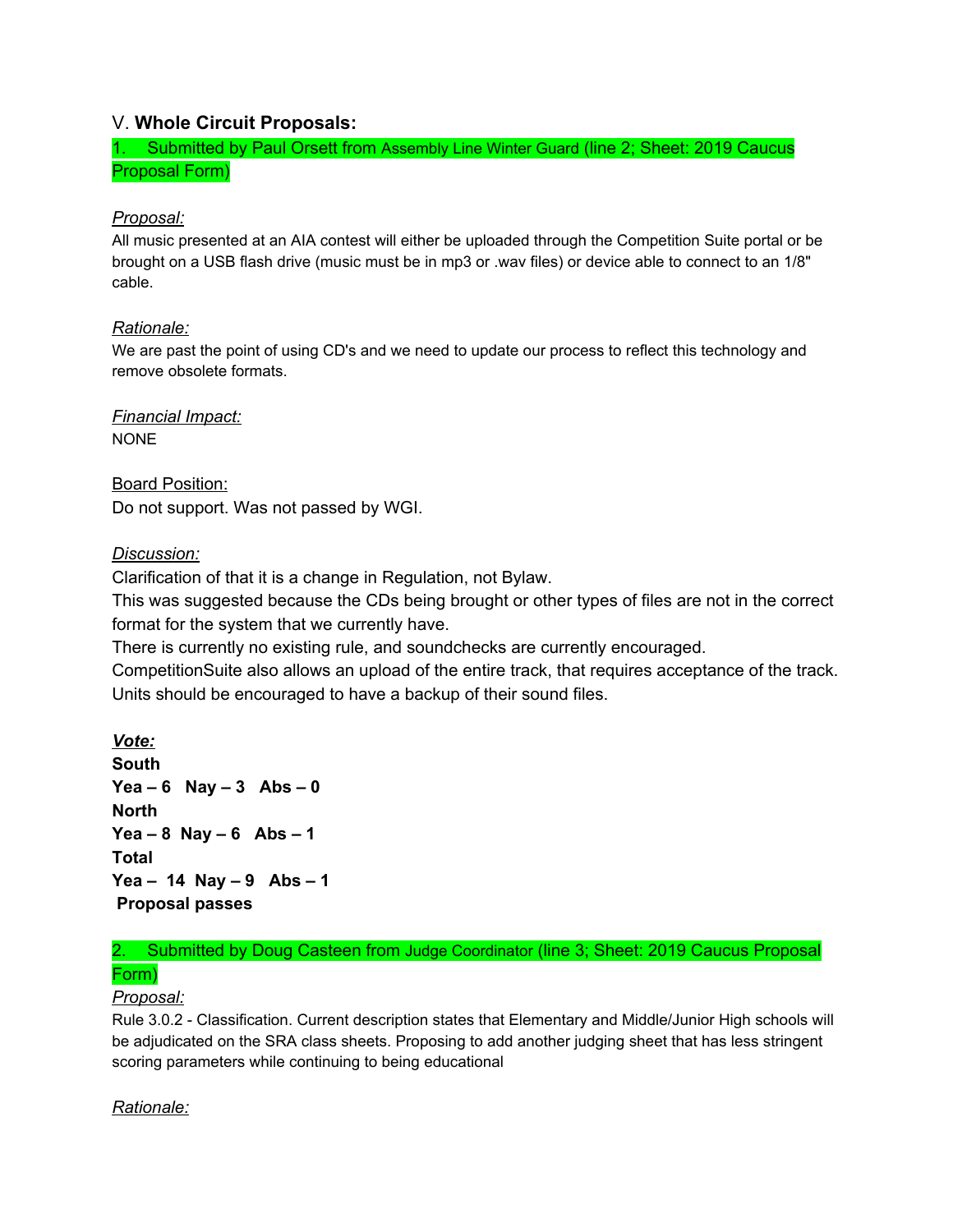# V. **Whole Circuit Proposals:**

1. Submitted by Paul Orsett from Assembly Line Winter Guard (line 2; Sheet: 2019 Caucus Proposal Form)

### *Proposal:*

All music presented at an AIA contest will either be uploaded through the Competition Suite portal or be brought on a USB flash drive (music must be in mp3 or .wav files) or device able to connect to an 1/8" cable.

#### *Rationale:*

We are past the point of using CD's and we need to update our process to reflect this technology and remove obsolete formats.

*Financial Impact:* NONE

Board Position: Do not support. Was not passed by WGI.

#### *Discussion:*

Clarification of that it is a change in Regulation, not Bylaw.

This was suggested because the CDs being brought or other types of files are not in the correct format for the system that we currently have.

There is currently no existing rule, and soundchecks are currently encouraged.

CompetitionSuite also allows an upload of the entire track, that requires acceptance of the track. Units should be encouraged to have a backup of their sound files.

*Vote:* **South Yea – 6 Nay – 3 Abs – 0 North Yea – 8 Nay – 6 Abs – 1 Total Yea – 14 Nay – 9 Abs – 1 Proposal passes**

# 2. Submitted by Doug Casteen from Judge Coordinator (line 3; Sheet: 2019 Caucus Proposal Form)

#### *Proposal:*

Rule 3.0.2 - Classification. Current description states that Elementary and Middle/Junior High schools will be adjudicated on the SRA class sheets. Proposing to add another judging sheet that has less stringent scoring parameters while continuing to being educational

# *Rationale:*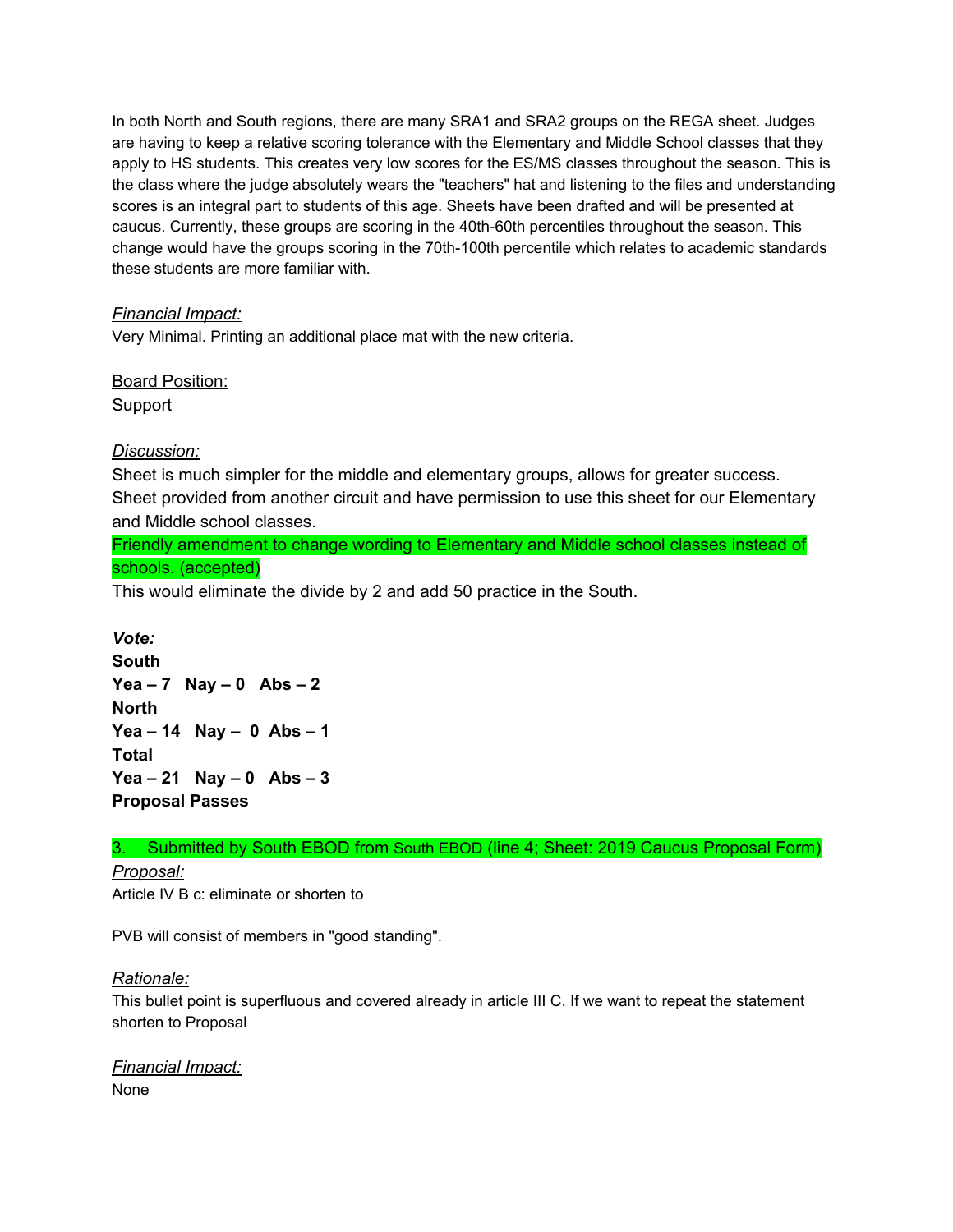In both North and South regions, there are many SRA1 and SRA2 groups on the REGA sheet. Judges are having to keep a relative scoring tolerance with the Elementary and Middle School classes that they apply to HS students. This creates very low scores for the ES/MS classes throughout the season. This is the class where the judge absolutely wears the "teachers" hat and listening to the files and understanding scores is an integral part to students of this age. Sheets have been drafted and will be presented at caucus. Currently, these groups are scoring in the 40th-60th percentiles throughout the season. This change would have the groups scoring in the 70th-100th percentile which relates to academic standards these students are more familiar with.

#### *Financial Impact:*

Very Minimal. Printing an additional place mat with the new criteria.

Board Position: Support

#### *Discussion:*

Sheet is much simpler for the middle and elementary groups, allows for greater success. Sheet provided from another circuit and have permission to use this sheet for our Elementary and Middle school classes.

Friendly amendment to change wording to Elementary and Middle school classes instead of schools. (accepted)

This would eliminate the divide by 2 and add 50 practice in the South.

*Vote:* **South Yea – 7 Nay – 0 Abs – 2 North Yea – 14 Nay – 0 Abs – 1 Total Yea – 21 Nay – 0 Abs – 3 Proposal Passes**

#### 3. Submitted by South EBOD from South EBOD (line 4; Sheet: 2019 Caucus Proposal Form)

*Proposal:*

Article IV B c: eliminate or shorten to

PVB will consist of members in "good standing".

#### *Rationale:*

This bullet point is superfluous and covered already in article III C. If we want to repeat the statement shorten to Proposal

*Financial Impact:* None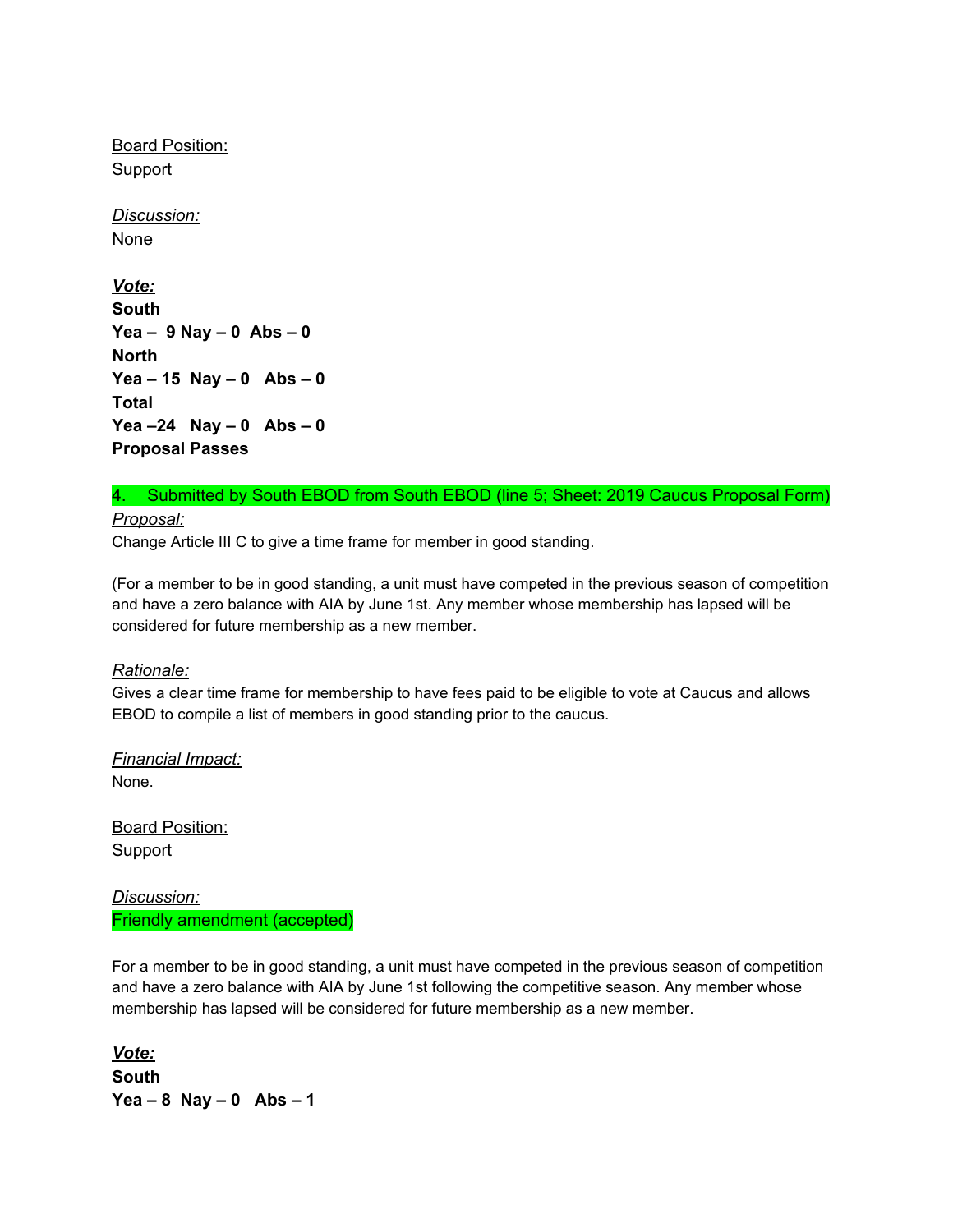**Board Position:** Support

*Discussion:* None

*Vote:* **South Yea – 9 Nay – 0 Abs – 0 North Yea – 15 Nay – 0 Abs – 0 Total Yea –24 Nay – 0 Abs – 0 Proposal Passes**

#### 4. Submitted by South EBOD from South EBOD (line 5; Sheet: 2019 Caucus Proposal Form) *Proposal:*

Change Article III C to give a time frame for member in good standing.

(For a member to be in good standing, a unit must have competed in the previous season of competition and have a zero balance with AIA by June 1st. Any member whose membership has lapsed will be considered for future membership as a new member.

#### *Rationale:*

Gives a clear time frame for membership to have fees paid to be eligible to vote at Caucus and allows EBOD to compile a list of members in good standing prior to the caucus.

*Financial Impact:* None.

Board Position: Support

*Discussion:* Friendly amendment (accepted)

For a member to be in good standing, a unit must have competed in the previous season of competition and have a zero balance with AIA by June 1st following the competitive season. Any member whose membership has lapsed will be considered for future membership as a new member.

*Vote:* **South Yea – 8 Nay – 0 Abs – 1**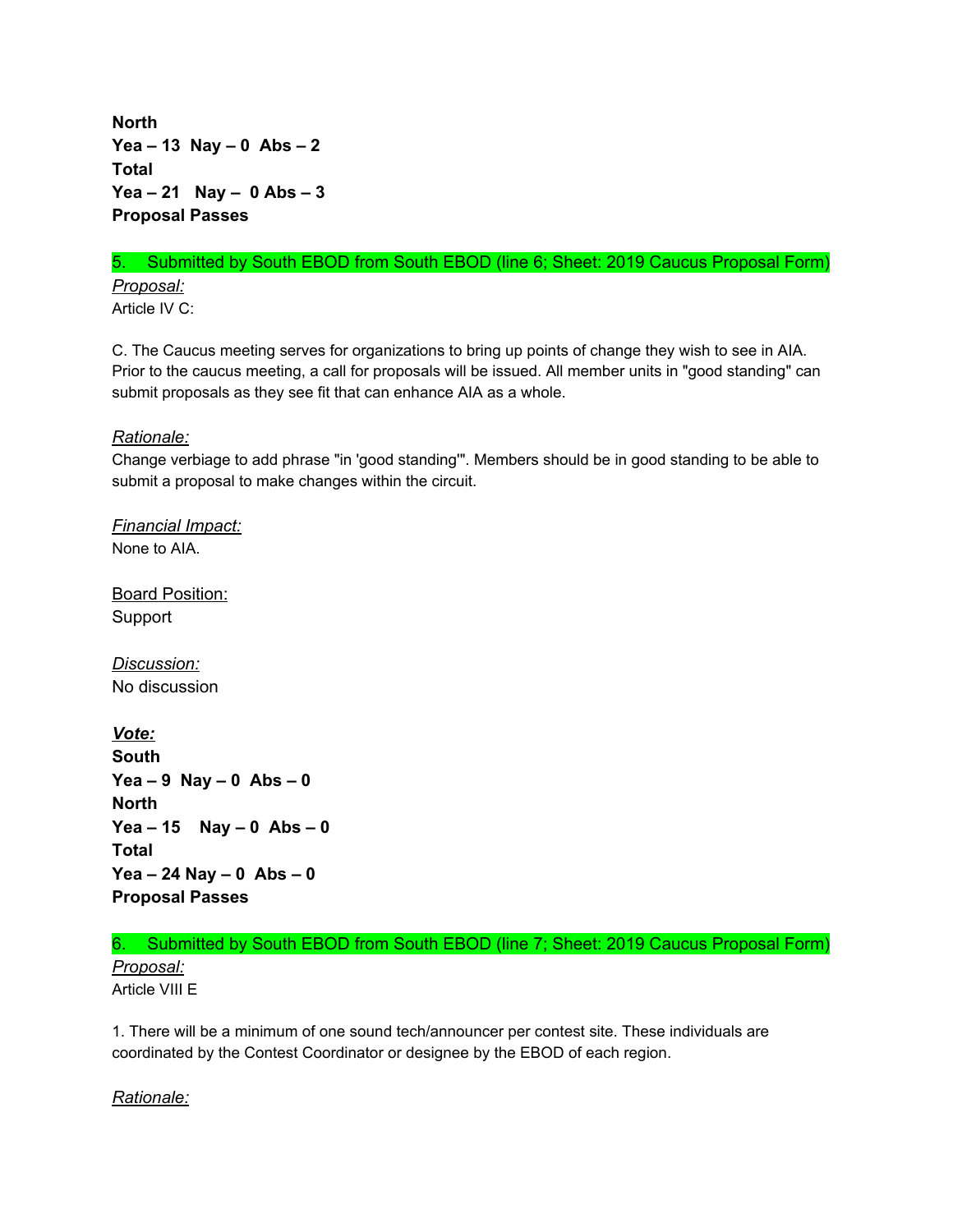**North Yea – 13 Nay – 0 Abs – 2 Total Yea – 21 Nay – 0 Abs – 3 Proposal Passes**

# 5. Submitted by South EBOD from South EBOD (line 6; Sheet: 2019 Caucus Proposal Form) *Proposal:*

Article IV C:

C. The Caucus meeting serves for organizations to bring up points of change they wish to see in AIA. Prior to the caucus meeting, a call for proposals will be issued. All member units in "good standing" can submit proposals as they see fit that can enhance AIA as a whole.

*Rationale:*

Change verbiage to add phrase "in 'good standing'". Members should be in good standing to be able to submit a proposal to make changes within the circuit.

*Financial Impact:* None to AIA.

Board Position: Support

*Discussion:* No discussion

*Vote:* **South Yea – 9 Nay – 0 Abs – 0 North Yea – 15 Nay – 0 Abs – 0 Total Yea – 24 Nay – 0 Abs – 0 Proposal Passes**

#### 6. Submitted by South EBOD from South EBOD (line 7; Sheet: 2019 Caucus Proposal Form)

*Proposal:* Article VIII E

1. There will be a minimum of one sound tech/announcer per contest site. These individuals are coordinated by the Contest Coordinator or designee by the EBOD of each region.

*Rationale:*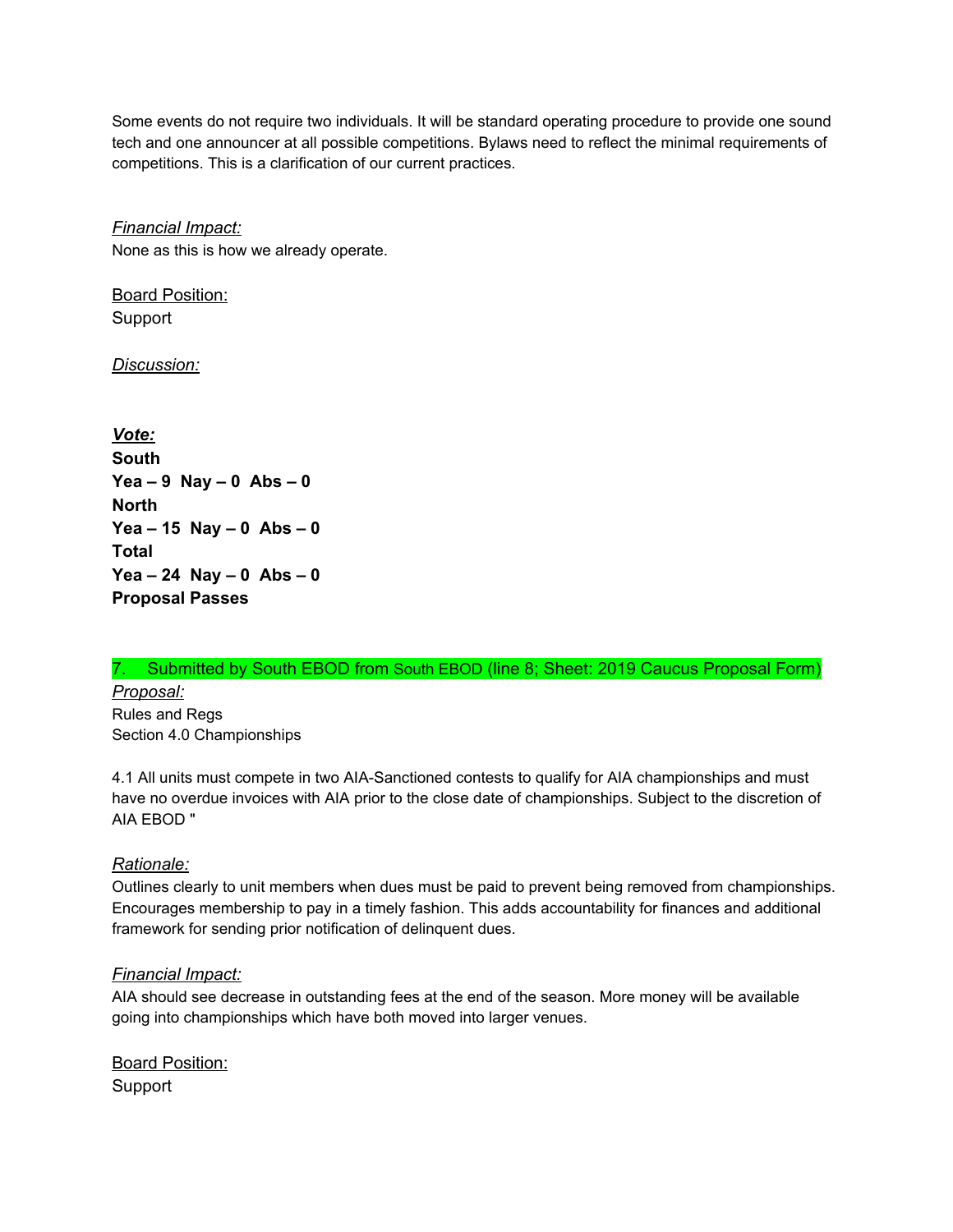Some events do not require two individuals. It will be standard operating procedure to provide one sound tech and one announcer at all possible competitions. Bylaws need to reflect the minimal requirements of competitions. This is a clarification of our current practices.

*Financial Impact:*

None as this is how we already operate.

Board Position: Support

*Discussion:*

*Vote:* **South Yea – 9 Nay – 0 Abs – 0 North Yea – 15 Nay – 0 Abs – 0 Total Yea – 24 Nay – 0 Abs – 0 Proposal Passes**

#### 7. Submitted by South EBOD from South EBOD (line 8; Sheet: 2019 Caucus Proposal Form)

*Proposal:* Rules and Regs Section 4.0 Championships

4.1 All units must compete in two AIA-Sanctioned contests to qualify for AIA championships and must have no overdue invoices with AIA prior to the close date of championships. Subject to the discretion of AIA EBOD "

#### *Rationale:*

Outlines clearly to unit members when dues must be paid to prevent being removed from championships. Encourages membership to pay in a timely fashion. This adds accountability for finances and additional framework for sending prior notification of delinquent dues.

#### *Financial Impact:*

AIA should see decrease in outstanding fees at the end of the season. More money will be available going into championships which have both moved into larger venues.

Board Position: Support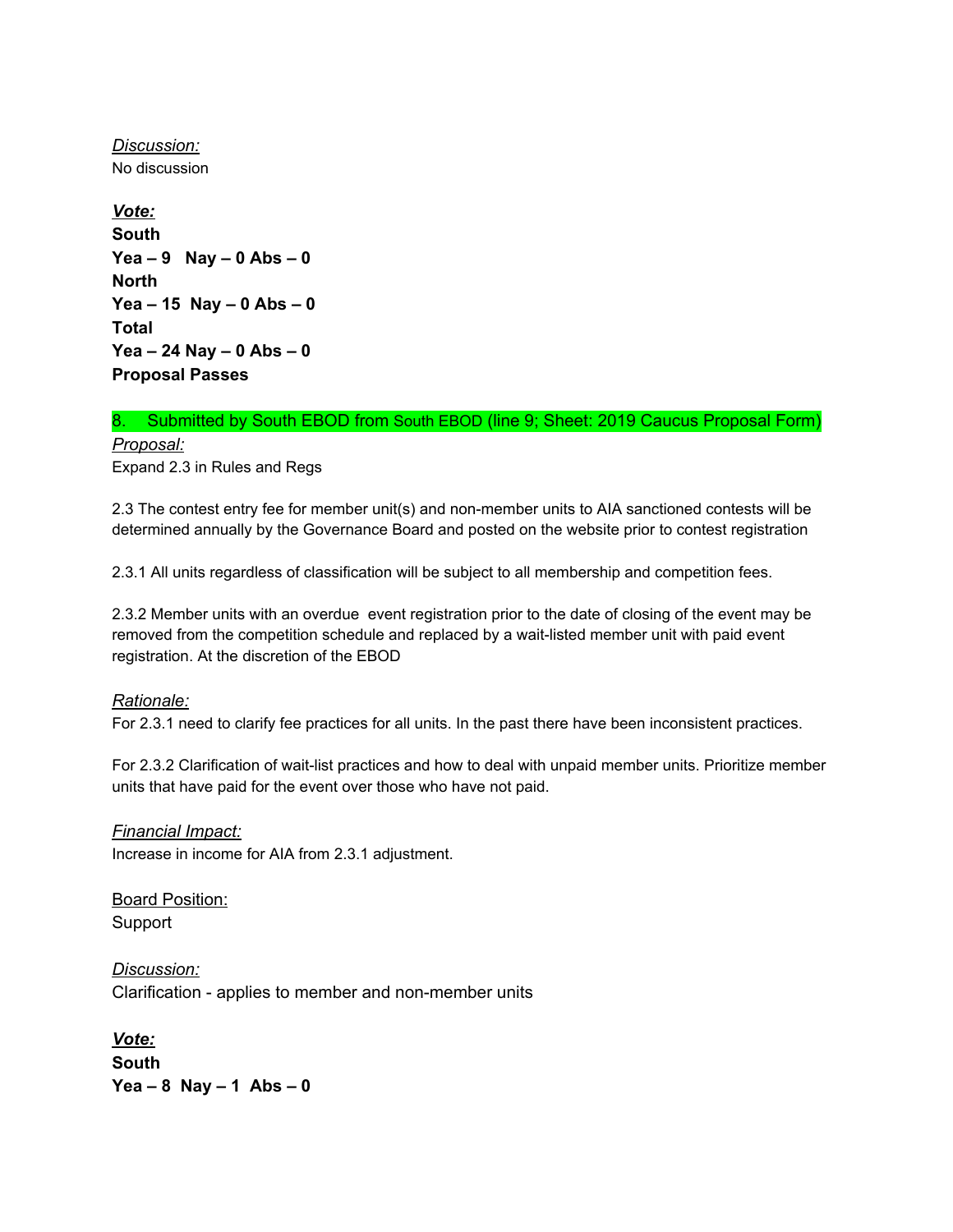*Discussion:* No discussion

*Vote:* **South Yea – 9 Nay – 0 Abs – 0 North Yea – 15 Nay – 0 Abs – 0 Total Yea – 24 Nay – 0 Abs – 0 Proposal Passes**

# 8. Submitted by South EBOD from South EBOD (line 9; Sheet: 2019 Caucus Proposal Form)

*Proposal:* Expand 2.3 in Rules and Regs

2.3 The contest entry fee for member unit(s) and non-member units to AIA sanctioned contests will be determined annually by the Governance Board and posted on the website prior to contest registration

2.3.1 All units regardless of classification will be subject to all membership and competition fees.

2.3.2 Member units with an overdue event registration prior to the date of closing of the event may be removed from the competition schedule and replaced by a wait-listed member unit with paid event registration. At the discretion of the EBOD

#### *Rationale:*

For 2.3.1 need to clarify fee practices for all units. In the past there have been inconsistent practices.

For 2.3.2 Clarification of wait-list practices and how to deal with unpaid member units. Prioritize member units that have paid for the event over those who have not paid.

*Financial Impact:* Increase in income for AIA from 2.3.1 adjustment.

Board Position: Support

*Discussion:* Clarification - applies to member and non-member units

*Vote:* **South Yea – 8 Nay – 1 Abs – 0**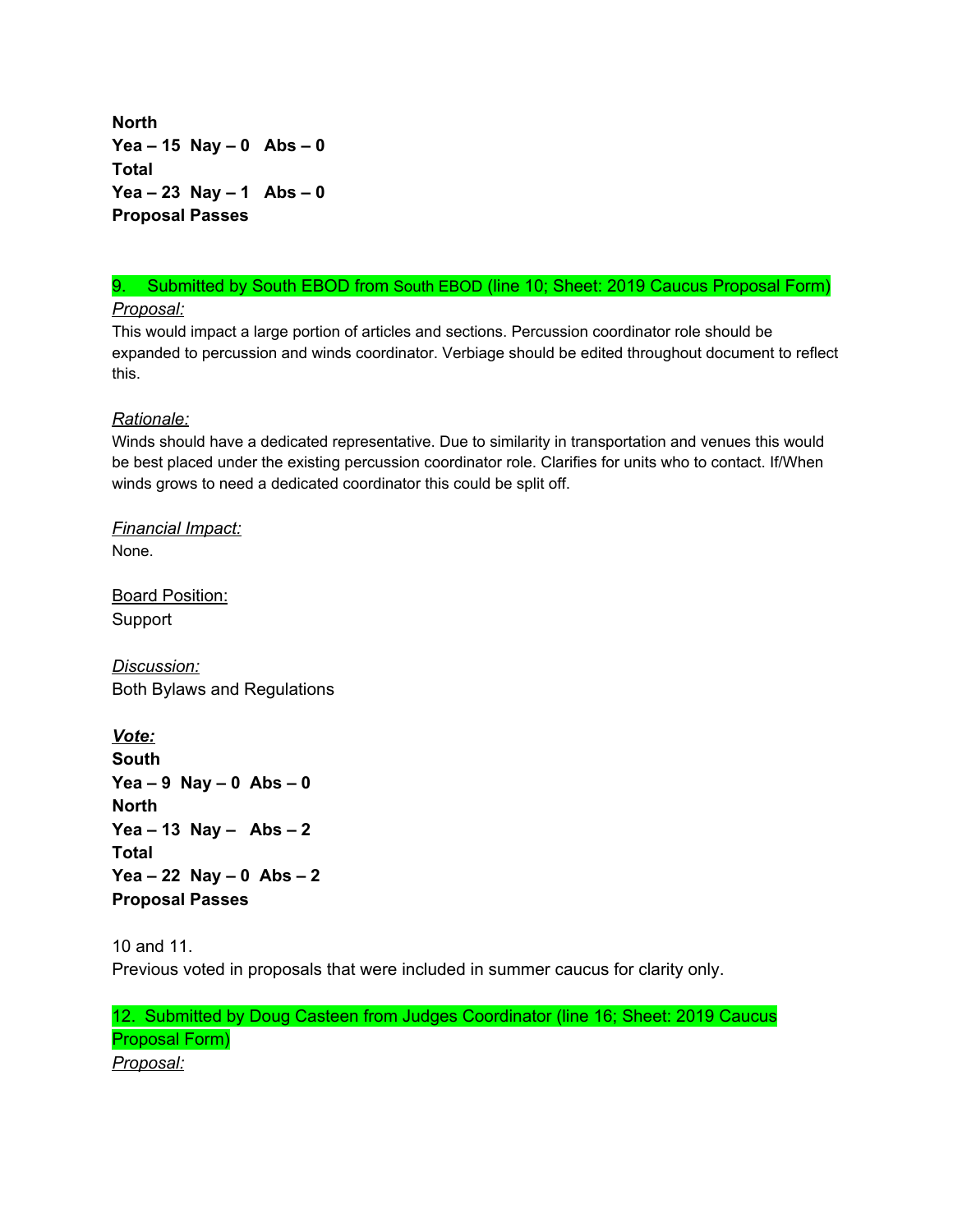**North Yea – 15 Nay – 0 Abs – 0 Total Yea – 23 Nay – 1 Abs – 0 Proposal Passes**

# 9. Submitted by South EBOD from South EBOD (line 10; Sheet: 2019 Caucus Proposal Form)

*Proposal:*

This would impact a large portion of articles and sections. Percussion coordinator role should be expanded to percussion and winds coordinator. Verbiage should be edited throughout document to reflect this.

#### *Rationale:*

Winds should have a dedicated representative. Due to similarity in transportation and venues this would be best placed under the existing percussion coordinator role. Clarifies for units who to contact. If/When winds grows to need a dedicated coordinator this could be split off.

*Financial Impact:* None.

Board Position: Support

*Discussion:* Both Bylaws and Regulations

*Vote:* **South Yea – 9 Nay – 0 Abs – 0 North Yea – 13 Nay – Abs – 2 Total Yea – 22 Nay – 0 Abs – 2 Proposal Passes**

10 and 11. Previous voted in proposals that were included in summer caucus for clarity only.

12. Submitted by Doug Casteen from Judges Coordinator (line 16; Sheet: 2019 Caucus Proposal Form) *Proposal:*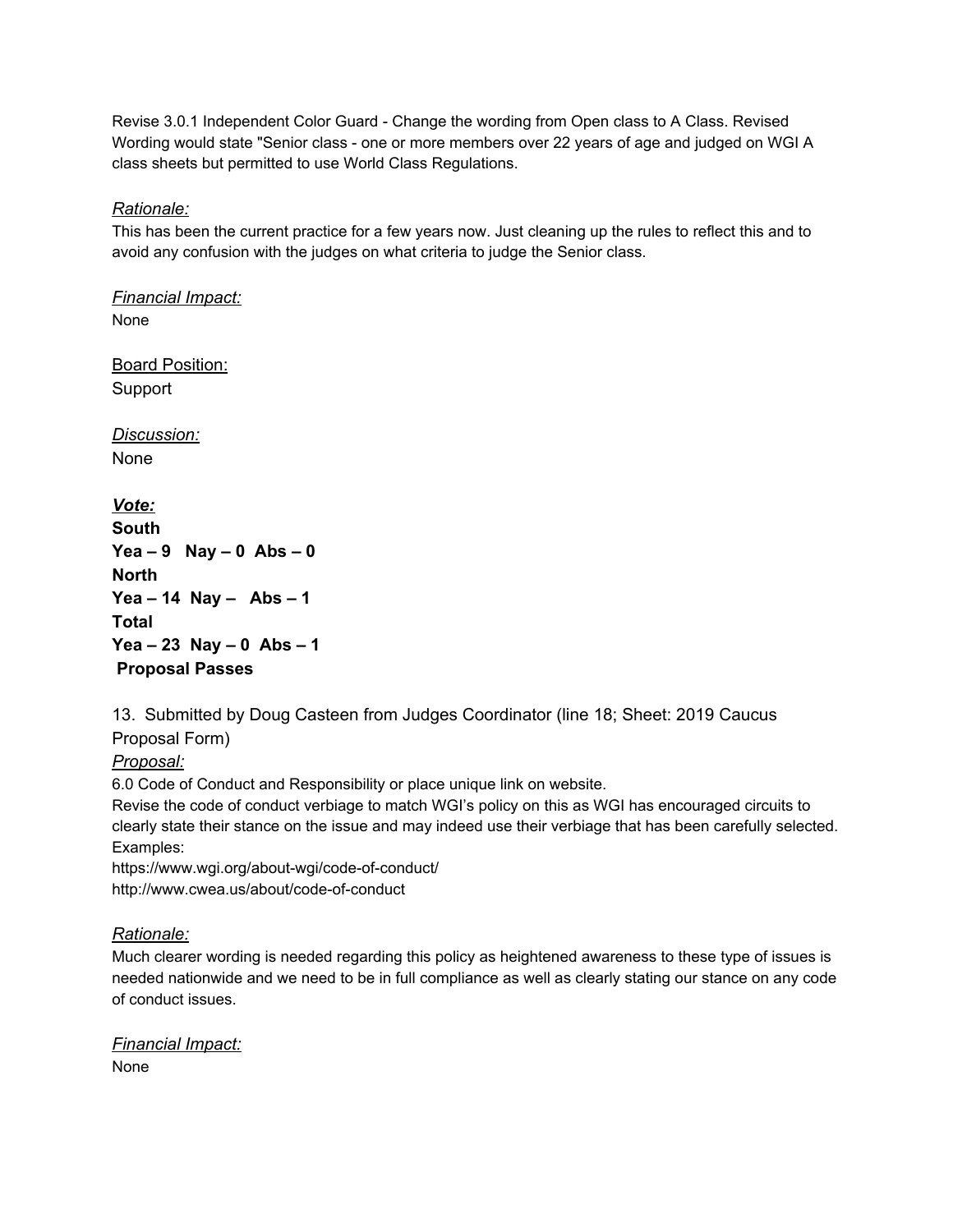Revise 3.0.1 Independent Color Guard - Change the wording from Open class to A Class. Revised Wording would state "Senior class - one or more members over 22 years of age and judged on WGI A class sheets but permitted to use World Class Regulations.

#### *Rationale:*

This has been the current practice for a few years now. Just cleaning up the rules to reflect this and to avoid any confusion with the judges on what criteria to judge the Senior class.

*Financial Impact:* None

Board Position: Support

*Discussion:* None

*Vote:* **South Yea – 9 Nay – 0 Abs – 0 North Yea – 14 Nay – Abs – 1 Total Yea – 23 Nay – 0 Abs – 1 Proposal Passes**

13. Submitted by Doug Casteen from Judges Coordinator (line 18; Sheet: 2019 Caucus Proposal Form)

*Proposal:*

6.0 Code of Conduct and Responsibility or place unique link on website.

Revise the code of conduct verbiage to match WGI's policy on this as WGI has encouraged circuits to clearly state their stance on the issue and may indeed use their verbiage that has been carefully selected. Examples:

https://www.wgi.org/about-wgi/code-of-conduct/ http://www.cwea.us/about/code-of-conduct

# *Rationale:*

Much clearer wording is needed regarding this policy as heightened awareness to these type of issues is needed nationwide and we need to be in full compliance as well as clearly stating our stance on any code of conduct issues.

*Financial Impact:* None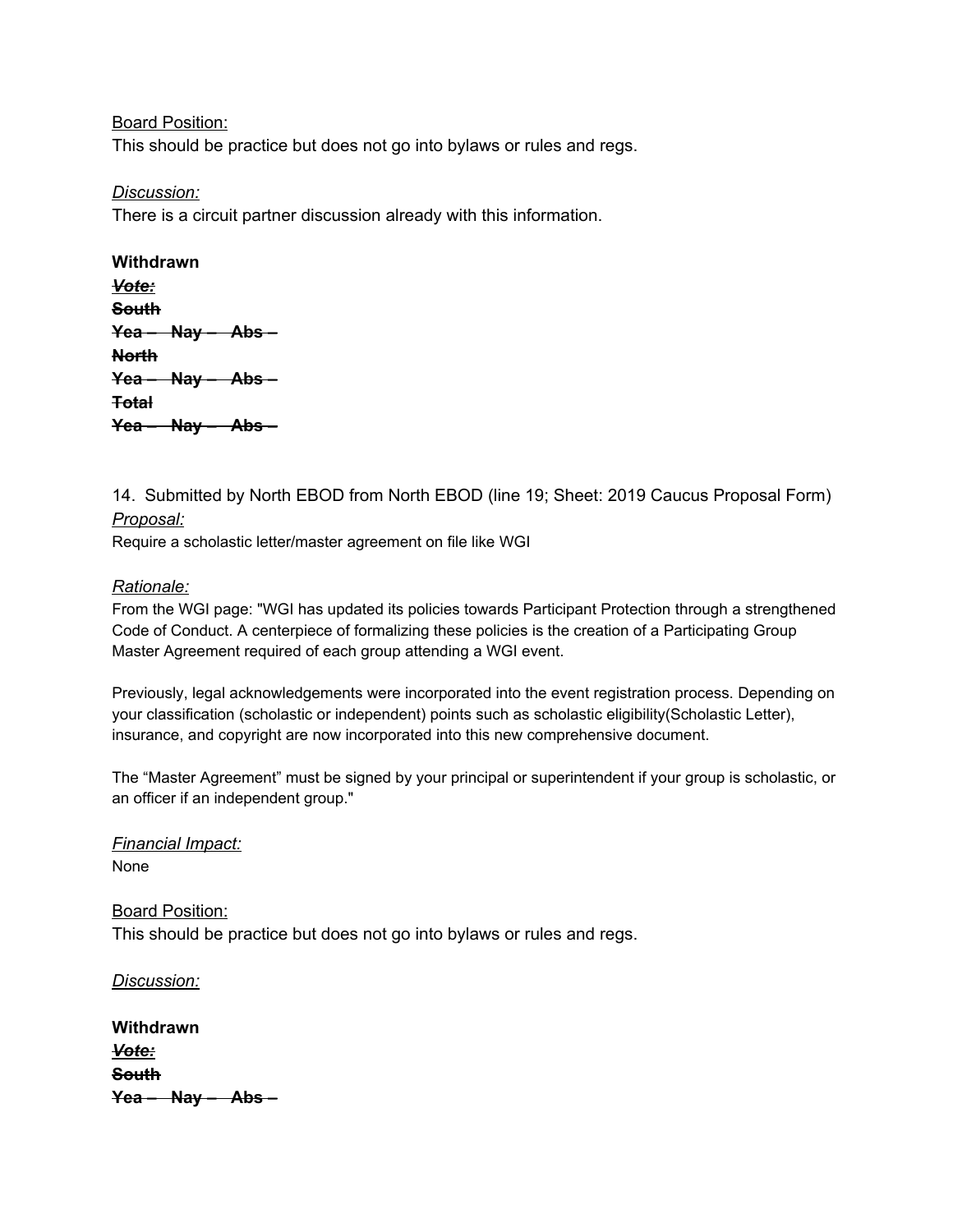Board Position:

This should be practice but does not go into bylaws or rules and regs.

*Discussion:*

There is a circuit partner discussion already with this information.

| Withdrawn           |
|---------------------|
| Vote:               |
| <b>South</b>        |
| $Yea - May - Abs -$ |
| <b>North</b>        |
| $Yea - May - Abs -$ |
| <del>Total</del>    |
| $Yea - Nay - Abs -$ |

14. Submitted by North EBOD from North EBOD (line 19; Sheet: 2019 Caucus Proposal Form) *Proposal:*

Require a scholastic letter/master agreement on file like WGI

#### *Rationale:*

From the WGI page: "WGI has updated its policies towards Participant Protection through a strengthened Code of Conduct. A centerpiece of formalizing these policies is the creation of a Participating Group Master Agreement required of each group attending a WGI event.

Previously, legal acknowledgements were incorporated into the event registration process. Depending on your classification (scholastic or independent) points such as scholastic eligibility(Scholastic Letter), insurance, and copyright are now incorporated into this new comprehensive document.

The "Master Agreement" must be signed by your principal or superintendent if your group is scholastic, or an officer if an independent group."

*Financial Impact:* None

Board Position: This should be practice but does not go into bylaws or rules and regs.

*Discussion:*

| Withdrawn    |                              |
|--------------|------------------------------|
| Vote:        |                              |
| <u>South</u> |                              |
|              | <del>Yea – Nay – Abs –</del> |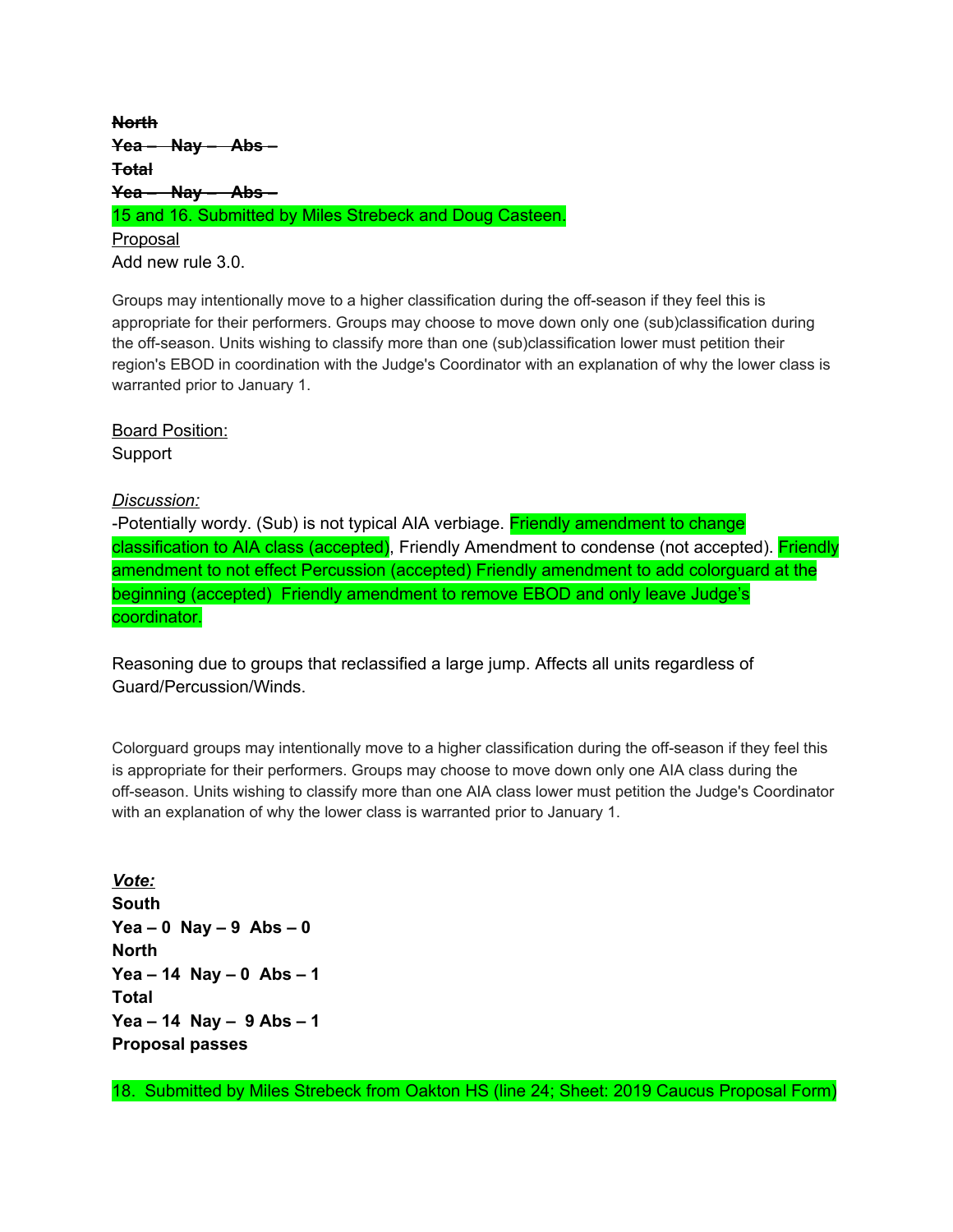**North Yea – Nay – Abs – Total Yea – Nay – Abs –** 15 and 16. Submitted by Miles Strebeck and Doug Casteen. Proposal Add new rule 3.0.

Groups may intentionally move to a higher classification during the off-season if they feel this is appropriate for their performers. Groups may choose to move down only one (sub)classification during the off-season. Units wishing to classify more than one (sub)classification lower must petition their region's EBOD in coordination with the Judge's Coordinator with an explanation of why the lower class is warranted prior to January 1.

Board Position: Support

*Discussion:*

-Potentially wordy. (Sub) is not typical AIA verbiage. Friendly amendment to change classification to AIA class (accepted), Friendly Amendment to condense (not accepted). Friendly amendment to not effect Percussion (accepted) Friendly amendment to add colorguard at the beginning (accepted) Friendly amendment to remove EBOD and only leave Judge's coordinator.

Reasoning due to groups that reclassified a large jump. Affects all units regardless of Guard/Percussion/Winds.

Colorguard groups may intentionally move to a higher classification during the off-season if they feel this is appropriate for their performers. Groups may choose to move down only one AIA class during the off-season. Units wishing to classify more than one AIA class lower must petition the Judge's Coordinator with an explanation of why the lower class is warranted prior to January 1.

*Vote:* **South Yea – 0 Nay – 9 Abs – 0 North Yea – 14 Nay – 0 Abs – 1 Total Yea – 14 Nay – 9 Abs – 1 Proposal passes**

18. Submitted by Miles Strebeck from Oakton HS (line 24; Sheet: 2019 Caucus Proposal Form)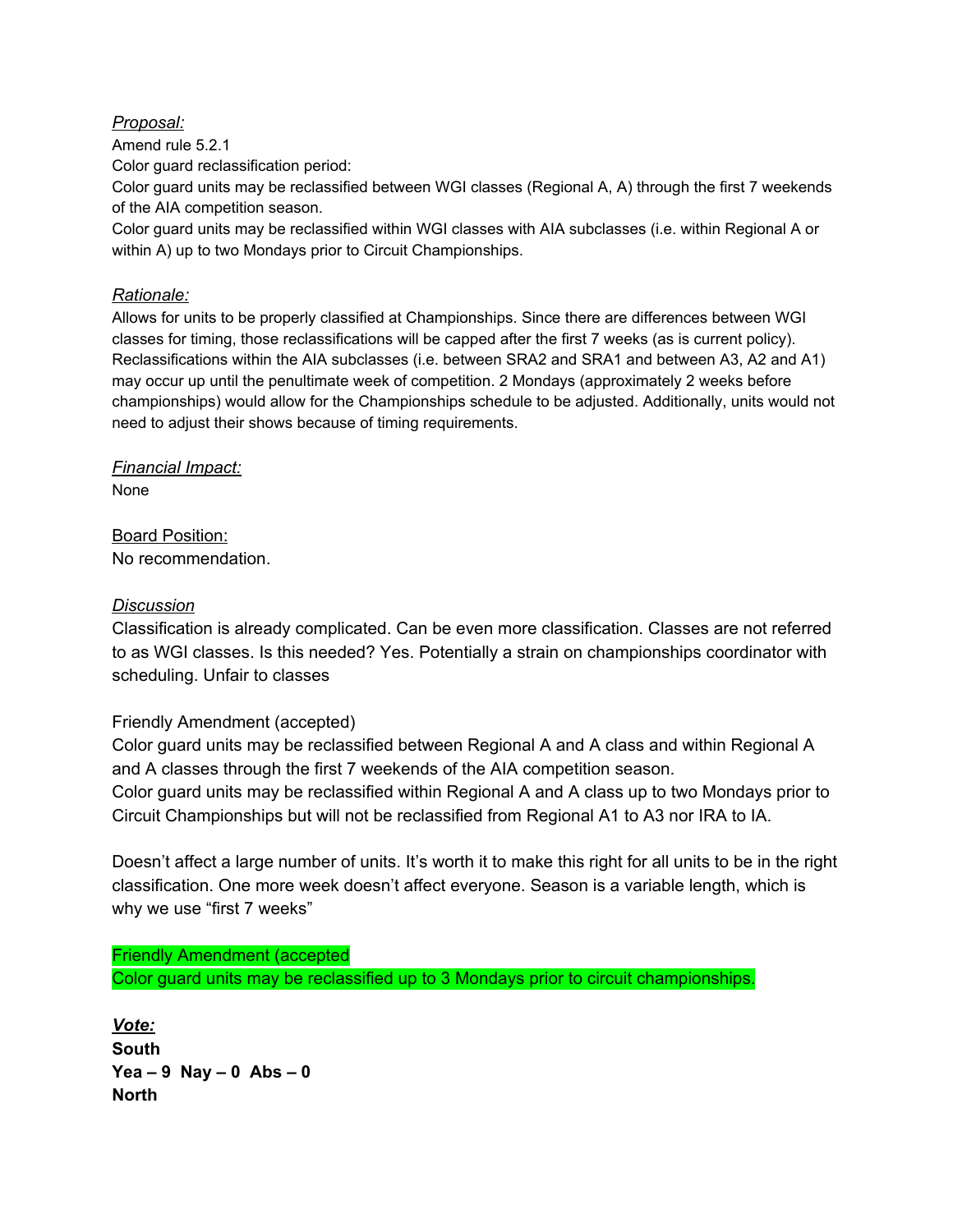#### *Proposal:*

Amend rule 5.2.1

Color guard reclassification period:

Color guard units may be reclassified between WGI classes (Regional A, A) through the first 7 weekends of the AIA competition season.

Color guard units may be reclassified within WGI classes with AIA subclasses (i.e. within Regional A or within A) up to two Mondays prior to Circuit Championships.

#### *Rationale:*

Allows for units to be properly classified at Championships. Since there are differences between WGI classes for timing, those reclassifications will be capped after the first 7 weeks (as is current policy). Reclassifications within the AIA subclasses (i.e. between SRA2 and SRA1 and between A3, A2 and A1) may occur up until the penultimate week of competition. 2 Mondays (approximately 2 weeks before championships) would allow for the Championships schedule to be adjusted. Additionally, units would not need to adjust their shows because of timing requirements.

*Financial Impact:* None

Board Position: No recommendation.

#### *Discussion*

Classification is already complicated. Can be even more classification. Classes are not referred to as WGI classes. Is this needed? Yes. Potentially a strain on championships coordinator with scheduling. Unfair to classes

#### Friendly Amendment (accepted)

Color guard units may be reclassified between Regional A and A class and within Regional A and A classes through the first 7 weekends of the AIA competition season. Color guard units may be reclassified within Regional A and A class up to two Mondays prior to Circuit Championships but will not be reclassified from Regional A1 to A3 nor IRA to IA.

Doesn't affect a large number of units. It's worth it to make this right for all units to be in the right classification. One more week doesn't affect everyone. Season is a variable length, which is why we use "first 7 weeks"

Friendly Amendment (accepted Color guard units may be reclassified up to 3 Mondays prior to circuit championships.

*Vote:* **South Yea – 9 Nay – 0 Abs – 0 North**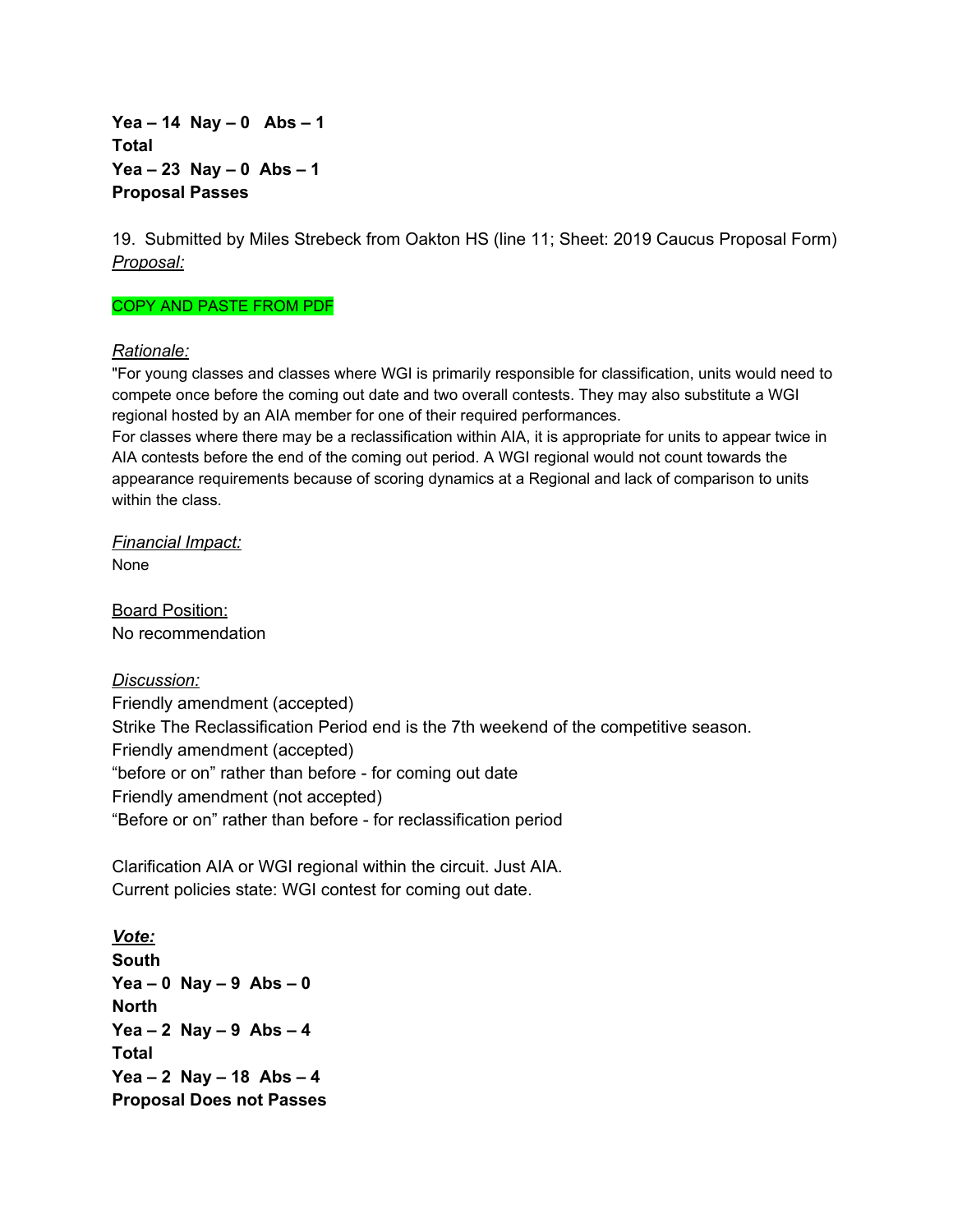**Yea – 14 Nay – 0 Abs – 1 Total Yea – 23 Nay – 0 Abs – 1 Proposal Passes**

19. Submitted by Miles Strebeck from Oakton HS (line 11; Sheet: 2019 Caucus Proposal Form) *Proposal:*

#### COPY AND PASTE FROM PDF

#### *Rationale:*

"For young classes and classes where WGI is primarily responsible for classification, units would need to compete once before the coming out date and two overall contests. They may also substitute a WGI regional hosted by an AIA member for one of their required performances.

For classes where there may be a reclassification within AIA, it is appropriate for units to appear twice in AIA contests before the end of the coming out period. A WGI regional would not count towards the appearance requirements because of scoring dynamics at a Regional and lack of comparison to units within the class.

*Financial Impact:* None

Board Position: No recommendation

*Discussion:* Friendly amendment (accepted) Strike The Reclassification Period end is the 7th weekend of the competitive season. Friendly amendment (accepted) "before or on" rather than before - for coming out date Friendly amendment (not accepted) "Before or on" rather than before - for reclassification period

Clarification AIA or WGI regional within the circuit. Just AIA. Current policies state: WGI contest for coming out date.

*Vote:* **South Yea – 0 Nay – 9 Abs – 0 North Yea – 2 Nay – 9 Abs – 4 Total Yea – 2 Nay – 18 Abs – 4 Proposal Does not Passes**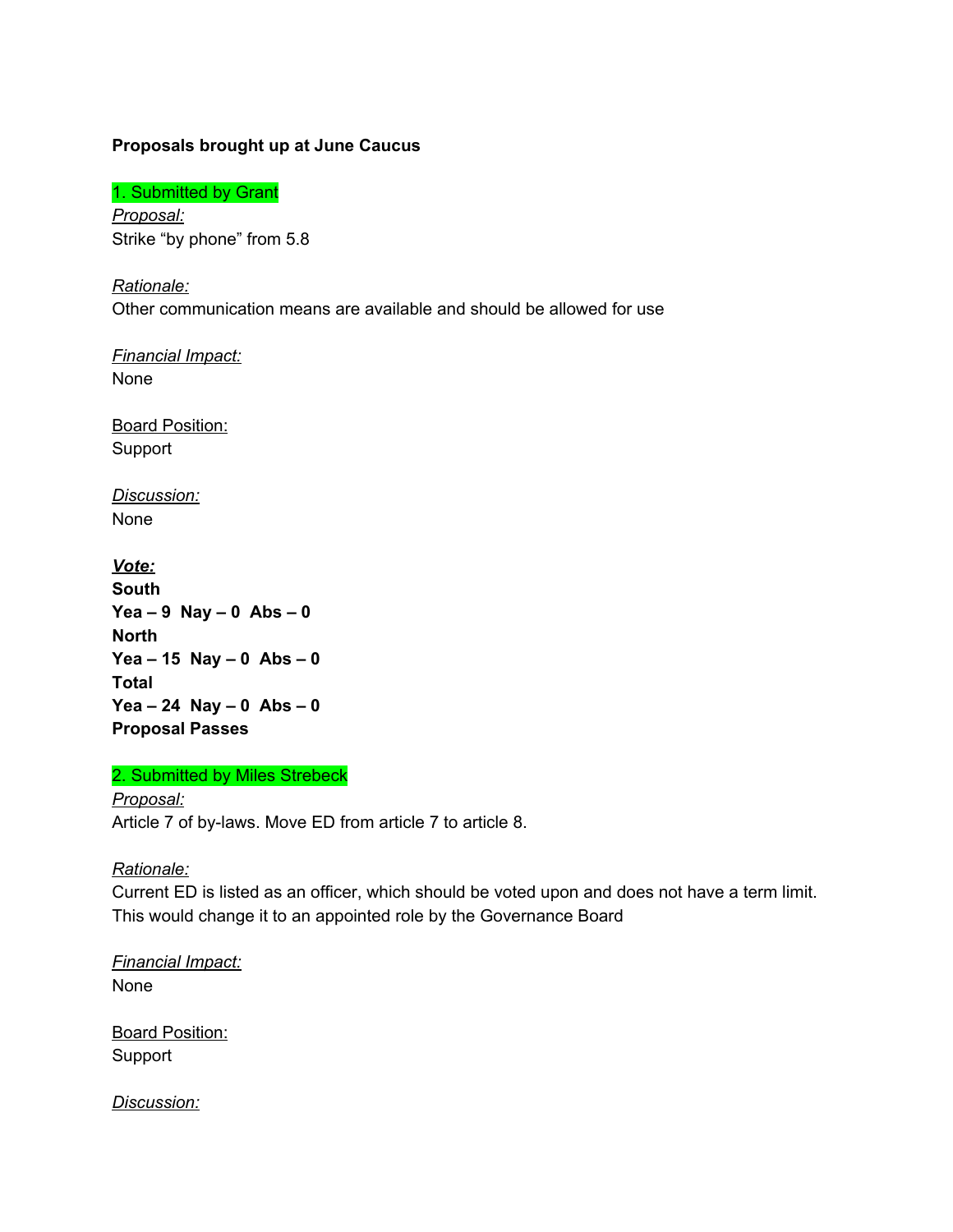#### **Proposals brought up at June Caucus**

1. Submitted by Grant

*Proposal:* Strike "by phone" from 5.8

*Rationale:* Other communication means are available and should be allowed for use

*Financial Impact:* None

Board Position: Support

*Discussion:* None

*Vote:* **South Yea – 9 Nay – 0 Abs – 0 North Yea – 15 Nay – 0 Abs – 0 Total Yea – 24 Nay – 0 Abs – 0 Proposal Passes**

2. Submitted by Miles Strebeck

*Proposal:* Article 7 of by-laws. Move ED from article 7 to article 8.

#### *Rationale:*

Current ED is listed as an officer, which should be voted upon and does not have a term limit. This would change it to an appointed role by the Governance Board

*Financial Impact:* None

**Board Position:** Support

*Discussion:*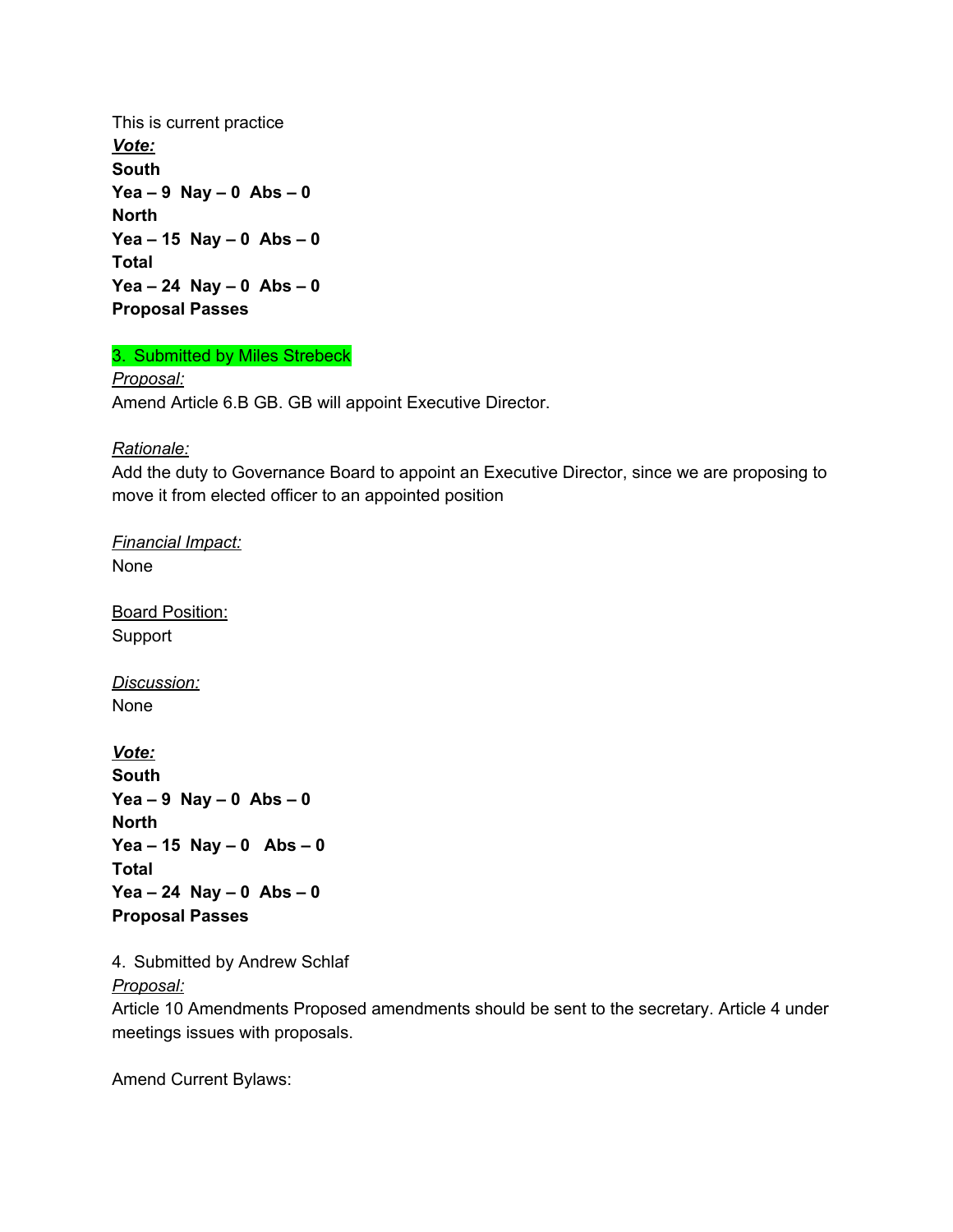This is current practice *Vote:* **South Yea – 9 Nay – 0 Abs – 0 North Yea – 15 Nay – 0 Abs – 0 Total Yea – 24 Nay – 0 Abs – 0 Proposal Passes**

3. Submitted by Miles Strebeck

*Proposal:* Amend Article 6.B GB. GB will appoint Executive Director.

*Rationale:*

Add the duty to Governance Board to appoint an Executive Director, since we are proposing to move it from elected officer to an appointed position

*Financial Impact:* None

Board Position: Support

*Discussion:* None

*Vote:* **South Yea – 9 Nay – 0 Abs – 0 North Yea – 15 Nay – 0 Abs – 0 Total Yea – 24 Nay – 0 Abs – 0 Proposal Passes**

4. Submitted by Andrew Schlaf

*Proposal:*

Article 10 Amendments Proposed amendments should be sent to the secretary. Article 4 under meetings issues with proposals.

Amend Current Bylaws: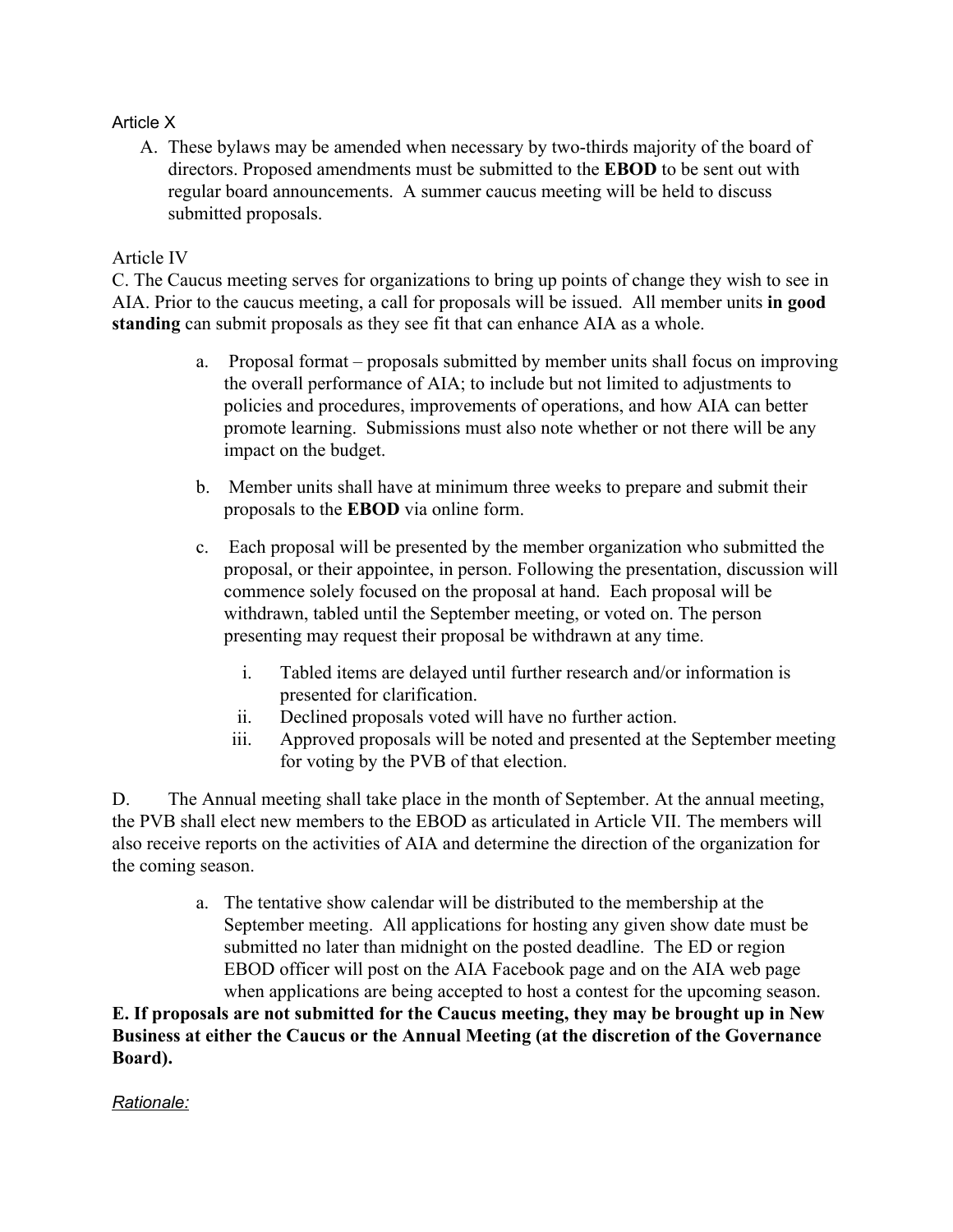# Article X

A. These bylaws may be amended when necessary by two-thirds majority of the board of directors. Proposed amendments must be submitted to the **EBOD** to be sent out with regular board announcements. A summer caucus meeting will be held to discuss submitted proposals.

# Article IV

C. The Caucus meeting serves for organizations to bring up points of change they wish to see in AIA. Prior to the caucus meeting, a call for proposals will be issued. All member units **in good standing** can submit proposals as they see fit that can enhance AIA as a whole.

- a. Proposal format proposals submitted by member units shall focus on improving the overall performance of AIA; to include but not limited to adjustments to policies and procedures, improvements of operations, and how AIA can better promote learning. Submissions must also note whether or not there will be any impact on the budget.
- b. Member units shall have at minimum three weeks to prepare and submit their proposals to the **EBOD** via online form.
- c. Each proposal will be presented by the member organization who submitted the proposal, or their appointee, in person. Following the presentation, discussion will commence solely focused on the proposal at hand. Each proposal will be withdrawn, tabled until the September meeting, or voted on. The person presenting may request their proposal be withdrawn at any time.
	- i. Tabled items are delayed until further research and/or information is presented for clarification.
	- ii. Declined proposals voted will have no further action.
	- iii. Approved proposals will be noted and presented at the September meeting for voting by the PVB of that election.

D. The Annual meeting shall take place in the month of September. At the annual meeting, the PVB shall elect new members to the EBOD as articulated in Article VII. The members will also receive reports on the activities of AIA and determine the direction of the organization for the coming season.

> a. The tentative show calendar will be distributed to the membership at the September meeting. All applications for hosting any given show date must be submitted no later than midnight on the posted deadline. The ED or region EBOD officer will post on the AIA Facebook page and on the AIA web page when applications are being accepted to host a contest for the upcoming season.

**E. If proposals are not submitted for the Caucus meeting, they may be brought up in New Business at either the Caucus or the Annual Meeting (at the discretion of the Governance Board).**

*Rationale:*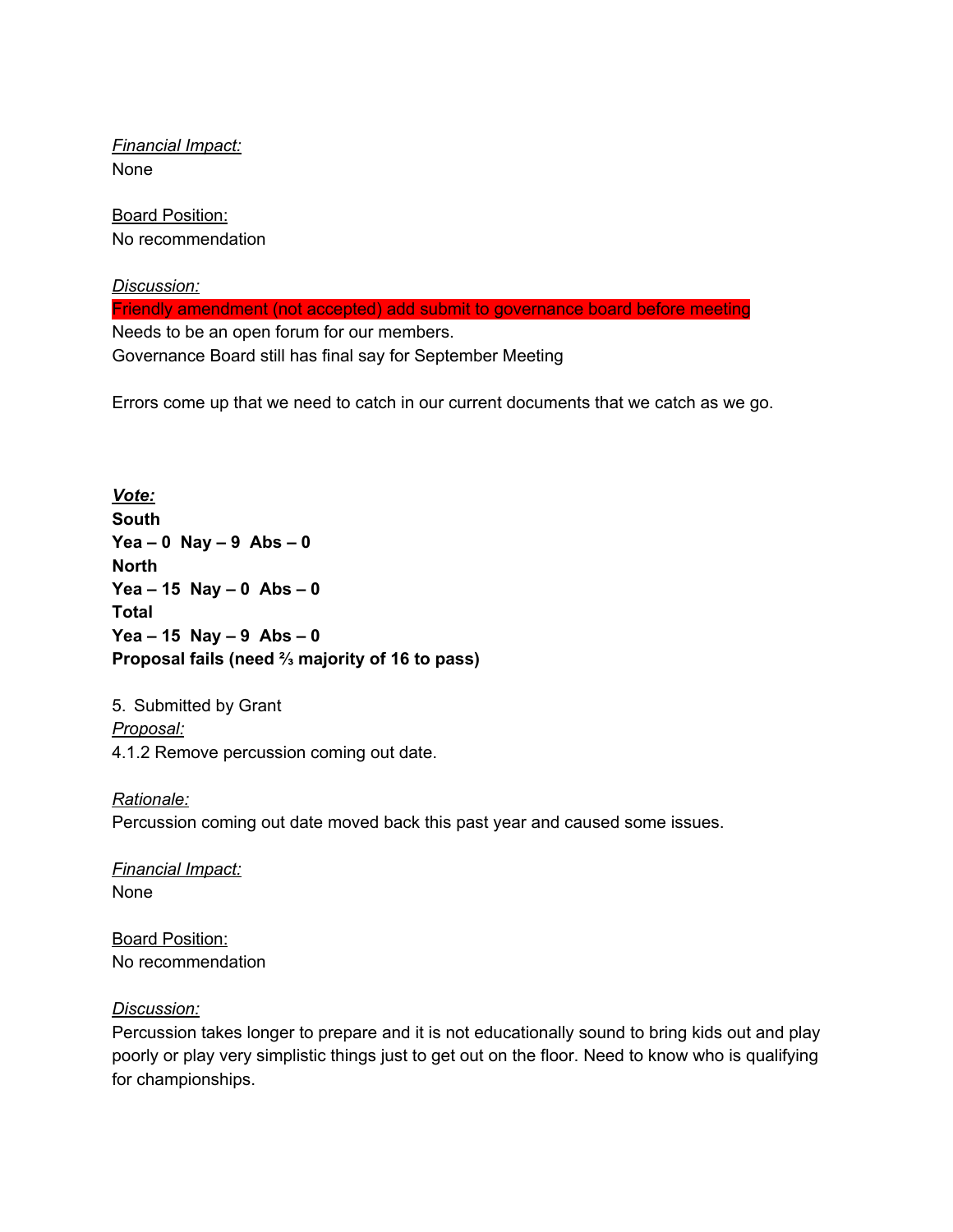*Financial Impact:* None

Board Position: No recommendation

*Discussion:* Friendly amendment (not accepted) add submit to governance board before meeting Needs to be an open forum for our members. Governance Board still has final say for September Meeting

Errors come up that we need to catch in our current documents that we catch as we go.

*Vote:* **South Yea – 0 Nay – 9 Abs – 0 North Yea – 15 Nay – 0 Abs – 0 Total Yea – 15 Nay – 9 Abs – 0 Proposal fails (need ⅔ majority of 16 to pass)**

5. Submitted by Grant *Proposal:* 4.1.2 Remove percussion coming out date.

*Rationale:* Percussion coming out date moved back this past year and caused some issues.

*Financial Impact:* None

Board Position: No recommendation

#### *Discussion:*

Percussion takes longer to prepare and it is not educationally sound to bring kids out and play poorly or play very simplistic things just to get out on the floor. Need to know who is qualifying for championships.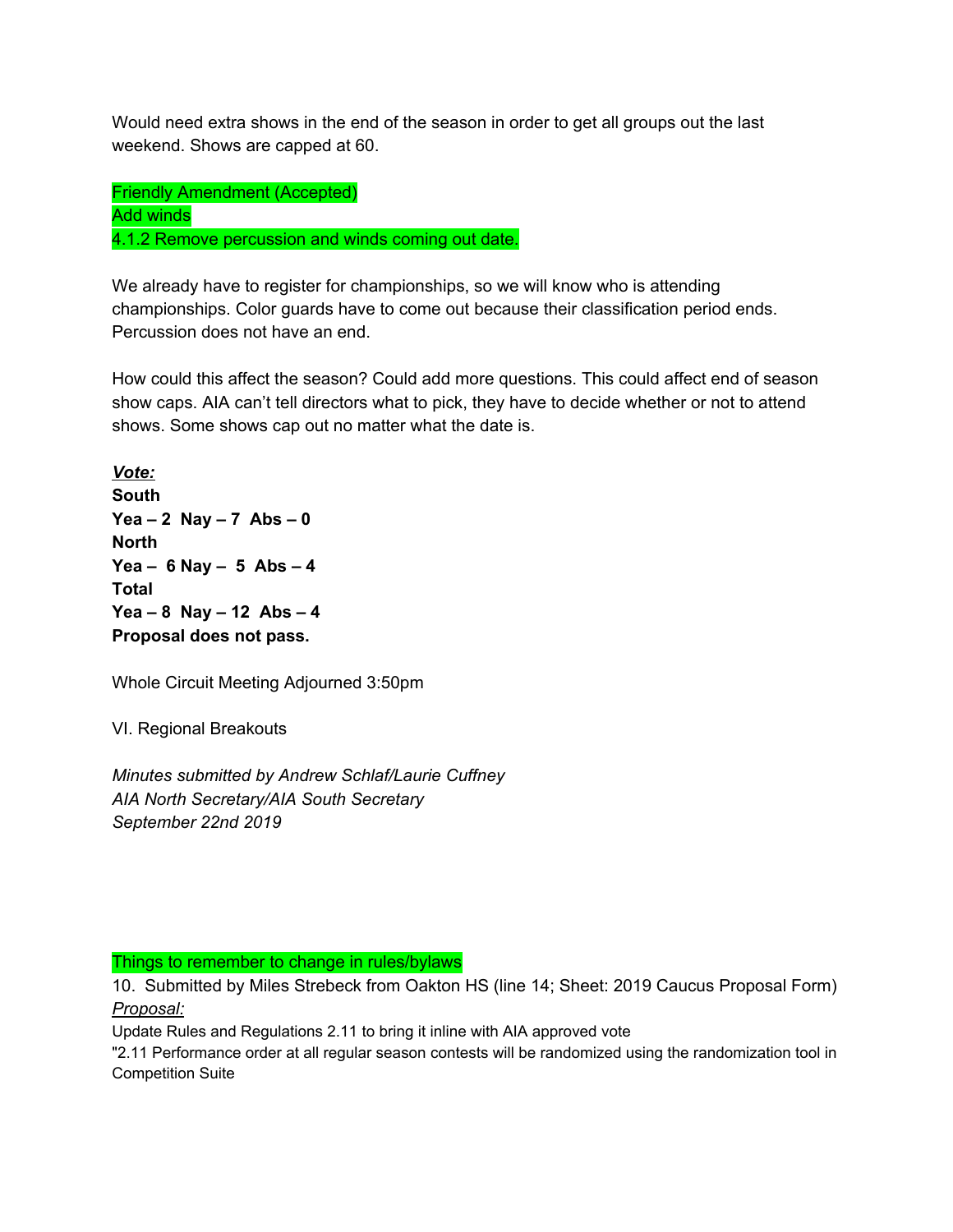Would need extra shows in the end of the season in order to get all groups out the last weekend. Shows are capped at 60.

Friendly Amendment (Accepted) Add winds 4.1.2 Remove percussion and winds coming out date.

We already have to register for championships, so we will know who is attending championships. Color guards have to come out because their classification period ends. Percussion does not have an end.

How could this affect the season? Could add more questions. This could affect end of season show caps. AIA can't tell directors what to pick, they have to decide whether or not to attend shows. Some shows cap out no matter what the date is.

*Vote:* **South Yea – 2 Nay – 7 Abs – 0 North Yea – 6 Nay – 5 Abs – 4 Total Yea – 8 Nay – 12 Abs – 4 Proposal does not pass.**

Whole Circuit Meeting Adjourned 3:50pm

VI. Regional Breakouts

*Minutes submitted by Andrew Schlaf/Laurie Cuffney AIA North Secretary/AIA South Secretary September 22nd 2019*

Things to remember to change in rules/bylaws

10. Submitted by Miles Strebeck from Oakton HS (line 14; Sheet: 2019 Caucus Proposal Form) *Proposal:*

Update Rules and Regulations 2.11 to bring it inline with AIA approved vote

"2.11 Performance order at all regular season contests will be randomized using the randomization tool in Competition Suite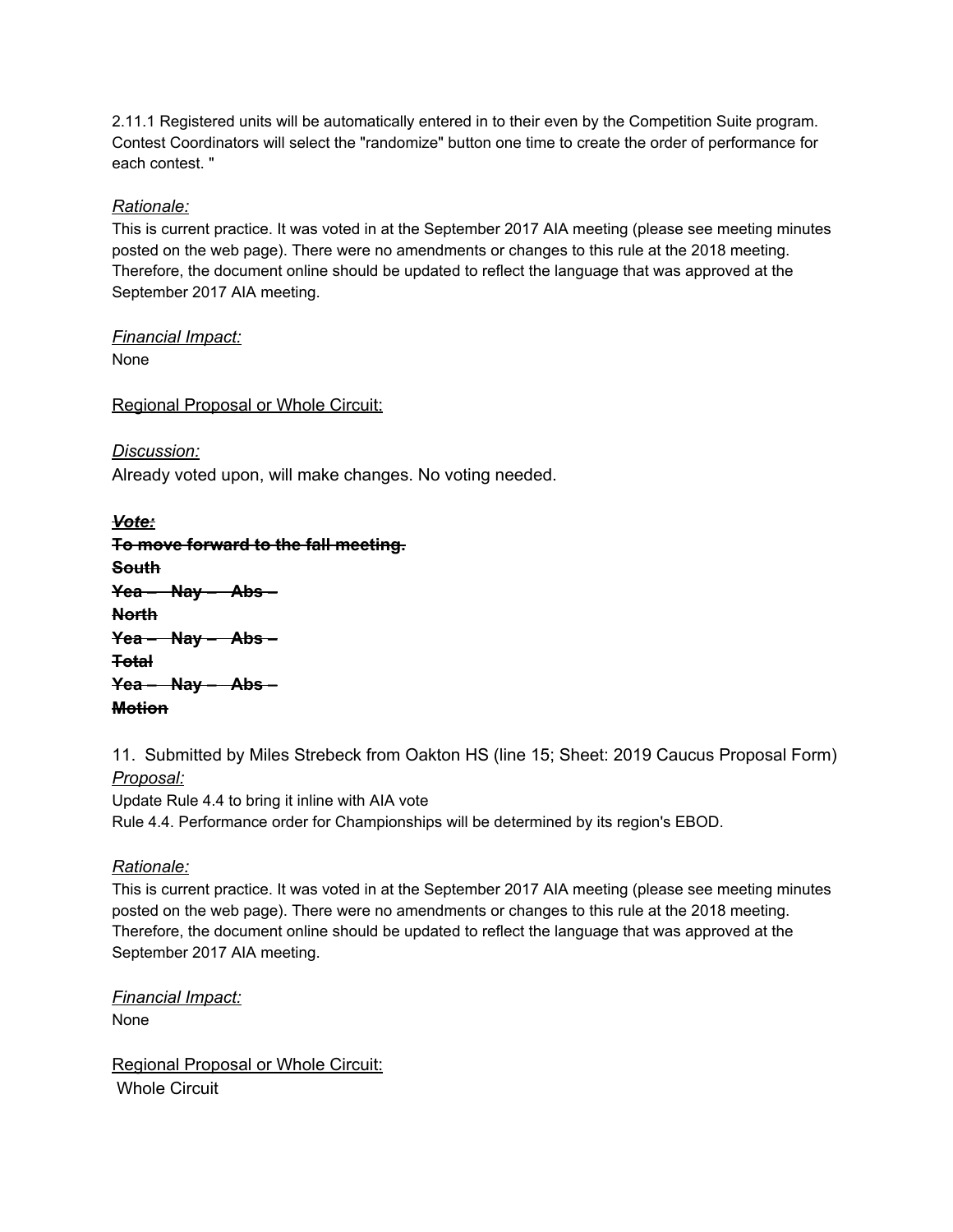2.11.1 Registered units will be automatically entered in to their even by the Competition Suite program. Contest Coordinators will select the "randomize" button one time to create the order of performance for each contest. "

#### *Rationale:*

This is current practice. It was voted in at the September 2017 AIA meeting (please see meeting minutes posted on the web page). There were no amendments or changes to this rule at the 2018 meeting. Therefore, the document online should be updated to reflect the language that was approved at the September 2017 AIA meeting.

*Financial Impact:* None

Regional Proposal or Whole Circuit:

*Discussion:* Already voted upon, will make changes. No voting needed.

| Vote:                                |
|--------------------------------------|
| To move forward to the fall meeting. |
| <b>South</b>                         |
| $Yea - Nay - Abs -$                  |
| <b>North</b>                         |
| $\frac{1}{2}$ Yea - Nay - Abs -      |
| <del>Total</del>                     |
| $Yea - Nay - Abs -$                  |
| <b>Motion</b>                        |

11. Submitted by Miles Strebeck from Oakton HS (line 15; Sheet: 2019 Caucus Proposal Form) *Proposal:*

Update Rule 4.4 to bring it inline with AIA vote Rule 4.4. Performance order for Championships will be determined by its region's EBOD.

#### *Rationale:*

This is current practice. It was voted in at the September 2017 AIA meeting (please see meeting minutes posted on the web page). There were no amendments or changes to this rule at the 2018 meeting. Therefore, the document online should be updated to reflect the language that was approved at the September 2017 AIA meeting.

*Financial Impact:* None

Regional Proposal or Whole Circuit: Whole Circuit